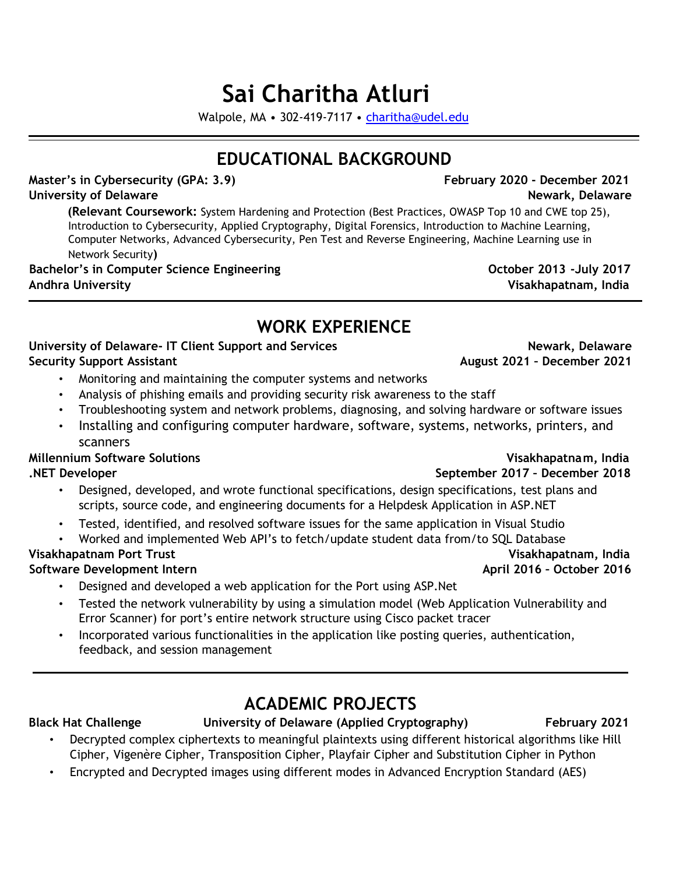# **Sai Charitha Atluri**

Walpole, MA • 302‐419‐7117 • charitha@udel.edu

## **EDUCATIONAL BACKGROUND**

**Master's in Cybersecurity (GPA: 3.9) February 2020 - December 2021 University of Delaware Newark, Delaware**

**(Relevant Coursework:** System Hardening and Protection (Best Practices, OWASP Top 10 and CWE top 25), Introduction to Cybersecurity, Applied Cryptography, Digital Forensics, Introduction to Machine Learning, Computer Networks, Advanced Cybersecurity, Pen Test and Reverse Engineering, Machine Learning use in Network Security**)** 

**Bachelor's in Computer Science Engineering**  The Computer of Case of Computer 2013 -July 2017 **Andhra University Visakhapatnam, India** 

## **WORK EXPERIENCE**

### University of Delaware- IT Client Support and Services **Newark, Delaware and Services** Newark, Delaware **Security Support Assistant August 2021 – December 2021**

- Monitoring and maintaining the computer systems and networks
- Analysis of phishing emails and providing security risk awareness to the staff
- Troubleshooting system and network problems, diagnosing, and solving hardware or software issues
- Installing and configuring computer hardware, software, systems, networks, printers, and scanners

**Millennium Software Solutions Visakhapatnam, India** 

- Designed, developed, and wrote functional specifications, design specifications, test plans and scripts, source code, and engineering documents for a Helpdesk Application in ASP.NET
- Tested, identified, and resolved software issues for the same application in Visual Studio
- Worked and implemented Web API's to fetch/update student data from/to SQL Database

## **Visakhapatnam Port Trust Visakhapatnam, India**

### **Software Development Intern April 2016 – October 2016**

- Designed and developed a web application for the Port using ASP.Net
- Tested the network vulnerability by using a simulation model (Web Application Vulnerability and Error Scanner) for port's entire network structure using Cisco packet tracer
- Incorporated various functionalities in the application like posting queries, authentication, feedback, and session management

## **ACADEMIC PROJECTS**

### Black Hat Challenge **The University of Delaware (Applied Cryptography)** February 2021

- Decrypted complex ciphertexts to meaningful plaintexts using different historical algorithms like Hill Cipher, Vigenère Cipher, Transposition Cipher, Playfair Cipher and Substitution Cipher in Python
- Encrypted and Decrypted images using different modes in Advanced Encryption Standard (AES)

## **.NET Developer September 2017 – December 2018**